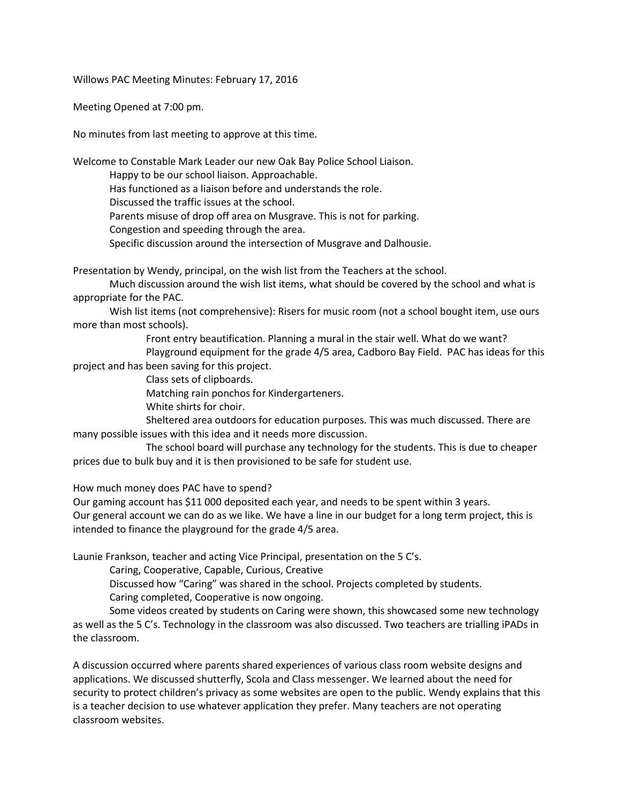Willows PAC Meeting Minutes: February 17, 2016

Meeting Opened at 7:00 pm.

No minutes from last meeting to approve at this time.

Welcome to Constable Mark Leader our new Oak Bay Police School Liaison.

Happy to be our school liaison. Approachable.

Has functioned as a liaison before and understands the role.

Discussed the traffic issues at the school.

Parents misuse of drop off area on Musgrave. This is not for parking.

Congestion and speeding through the area.

Specific discussion around the intersection of Musgrave and Dalhousie.

Presentation by Wendy, principal, on the wish list from the Teachers at the school.

Much discussion around the wish list items, what should be covered by the school and what is appropriate for the PAC.

Wish list items (not comprehensive): Risers for music room (not a school bought item, use ours more than most schools).

> Front entry beautification. Planning a mural in the stair well. What do we want? Playground equipment for the grade 4/5 area, Cadboro Bay Field. PAC has ideas for this

project and has been saving for this project.

Class sets of clipboards.

Matching rain ponchos for Kindergarteners.

White shirts for choir.

Sheltered area outdoors for education purposes. This was much discussed. There are many possible issues with this idea and it needs more discussion.

The school board will purchase any technology for the students. This is due to cheaper prices due to bulk buy and it is then provisioned to be safe for student use.

How much money does PAC have to spend?

Our gaming account has \$11 000 deposited each year, and needs to be spent within 3 years. Our general account we can do as we like. We have a line in our budget for a long term project, this is intended to finance the playground for the grade 4/5 area.

Launie Frankson, teacher and acting Vice Principal, presentation on the 5 C's.

Caring, Cooperative, Capable, Curious, Creative

Discussed how "Caring" was shared in the school. Projects completed by students.

Caring completed, Cooperative is now ongoing.

Some videos created by students on Caring were shown, this showcased some new technology as well as the 5 C's. Technology in the classroom was also discussed. Two teachers are trialling iPADs in the classroom.

A discussion occurred where parents shared experiences of various class room website designs and applications. We discussed shutterfly, Scola and Class messenger. We learned about the need for security to protect children's privacy as some websites are open to the public. Wendy explains that this is a teacher decision to use whatever application they prefer. Many teachers are not operating classroom websites.